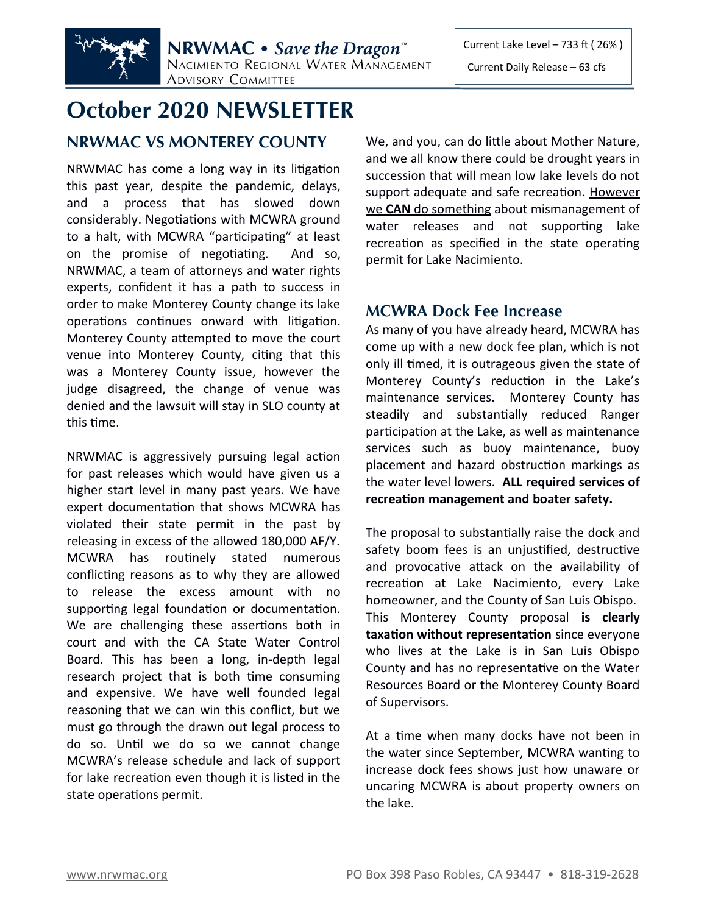

# **October 2020 NEWSLETTER**

## **NRWMAC VS MONTEREY COUNTY**

NRWMAC has come a long way in its litigation this past year, despite the pandemic, delays, and a process that has slowed down considerably. Negotiations with MCWRA ground to a halt, with MCWRA "participating" at least on the promise of negotiating. And so, NRWMAC, a team of attorneys and water rights experts, confident it has a path to success in order to make Monterey County change its lake operations continues onward with litigation. Monterey County attempted to move the court venue into Monterey County, citing that this was a Monterey County issue, however the judge disagreed, the change of venue was denied and the lawsuit will stay in SLO county at this time.

NRWMAC is aggressively pursuing legal action for past releases which would have given us a higher start level in many past years. We have expert documentation that shows MCWRA has violated their state permit in the past by releasing in excess of the allowed 180,000 AF/Y. MCWRA has routinely stated numerous conflicting reasons as to why they are allowed to release the excess amount with no supporting legal foundation or documentation. We are challenging these assertions both in court and with the CA State Water Control Board. This has been a long, in-depth legal research project that is both time consuming and expensive. We have well founded legal reasoning that we can win this conflict, but we must go through the drawn out legal process to do so. Until we do so we cannot change MCWRA's release schedule and lack of support for lake recreation even though it is listed in the state operations permit.

We, and you, can do little about Mother Nature, and we all know there could be drought years in succession that will mean low lake levels do not support adequate and safe recreation. However we **CAN** do something about mismanagement of water releases and not supporting lake recreation as specified in the state operating permit for Lake Nacimiento.

### **MCWRA Dock Fee Increase**

As many of you have already heard, MCWRA has come up with a new dock fee plan, which is not only ill timed, it is outrageous given the state of Monterey County's reduction in the Lake's maintenance services. Monterey County has steadily and substantially reduced Ranger participation at the Lake, as well as maintenance services such as buoy maintenance, buoy placement and hazard obstruction markings as the water level lowers. **ALL required services of recreation management and boater safety.**

The proposal to substantially raise the dock and safety boom fees is an unjustified, destructive and provocative attack on the availability of recreation at Lake Nacimiento, every Lake homeowner, and the County of San Luis Obispo. This Monterey County proposal **is clearly taxation without representation** since everyone who lives at the Lake is in San Luis Obispo County and has no representative on the Water Resources Board or the Monterey County Board of Supervisors.

At a time when many docks have not been in the water since September, MCWRA wanting to increase dock fees shows just how unaware or uncaring MCWRA is about property owners on the lake.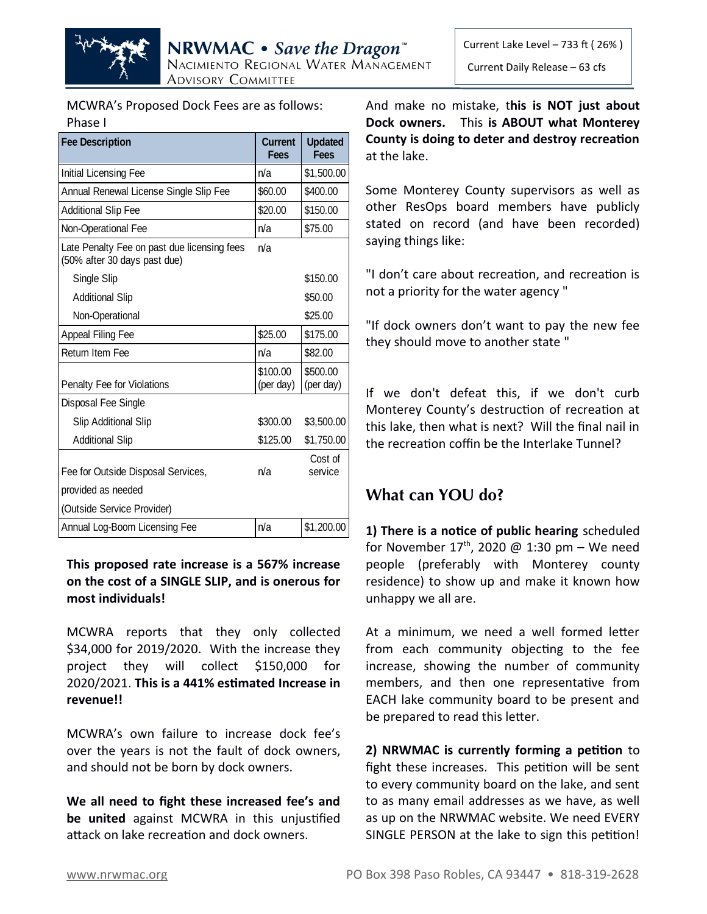

MCWRA's Proposed Dock Fees are as follows: Phase I

| <b>Fee Description</b>                                                      | <b>Current</b><br><b>Fees</b> | <b>Updated</b><br>Fees |
|-----------------------------------------------------------------------------|-------------------------------|------------------------|
| Initial Licensing Fee                                                       | n/a                           | \$1,500.00             |
| Annual Renewal License Single Slip Fee                                      | \$60.00                       | \$400.00               |
| <b>Additional Slip Fee</b>                                                  | \$20.00                       | \$150.00               |
| Non-Operational Fee                                                         | n/a                           | \$75.00                |
| Late Penalty Fee on past due licensing fees<br>(50% after 30 days past due) | n/a                           |                        |
| Single Slip                                                                 |                               | \$150.00               |
| <b>Additional Slip</b>                                                      |                               | \$50.00                |
| Non-Operational                                                             |                               | \$25.00                |
| Appeal Filing Fee                                                           | \$25.00                       | \$175.00               |
| Return Item Fee                                                             | n/a                           | \$82.00                |
| Penalty Fee for Violations                                                  | \$100.00<br>(per day)         | \$500.00<br>(per day)  |
| Disposal Fee Single                                                         |                               |                        |
| <b>Slip Additional Slip</b>                                                 | \$300.00                      | \$3,500.00             |
| <b>Additional Slip</b>                                                      | \$125.00                      | \$1,750.00             |
| Fee for Outside Disposal Services,                                          | n/a                           | Cost of<br>service     |
| provided as needed                                                          |                               |                        |
| (Outside Service Provider)                                                  |                               |                        |
| Annual Log-Boom Licensing Fee                                               | n/a                           | \$1,200.00             |

### **This proposed rate increase is a 567% increase on the cost of a SINGLE SLIP, and is onerous for most individuals!**

MCWRA reports that they only collected \$34,000 for 2019/2020. With the increase they project they will collect \$150,000 for 2020/2021. **This is a 441% estimated Increase in revenue!!**

MCWRA's own failure to increase dock fee's over the years is not the fault of dock owners, and should not be born by dock owners.

**We all need to fight these increased fee's and be united** against MCWRA in this unjustified attack on lake recreation and dock owners.

And make no mistake, t**his is NOT just about Dock owners.** This **is ABOUT what Monterey County is doing to deter and destroy recreation** at the lake.

Some Monterey County supervisors as well as other ResOps board members have publicly stated on record (and have been recorded) saying things like:

"I don't care about recreation, and recreation is not a priority for the water agency "

"If dock owners don't want to pay the new fee they should move to another state "

If we don't defeat this, if we don't curb Monterey County's destruction of recreation at this lake, then what is next? Will the final nail in the recreation coffin be the Interlake Tunnel?

# **What can YOU do?**

**1) There is a notice of public hearing** scheduled for November  $17<sup>th</sup>$ , 2020 @ 1:30 pm – We need people (preferably with Monterey county residence) to show up and make it known how unhappy we all are.

At a minimum, we need a well formed letter from each community objecting to the fee increase, showing the number of community members, and then one representative from EACH lake community board to be present and be prepared to read this letter.

**2) NRWMAC is currently forming a petition** to fight these increases. This petition will be sent to every community board on the lake, and sent to as many email addresses as we have, as well as up on the NRWMAC website. We need EVERY SINGLE PERSON at the lake to sign this petition!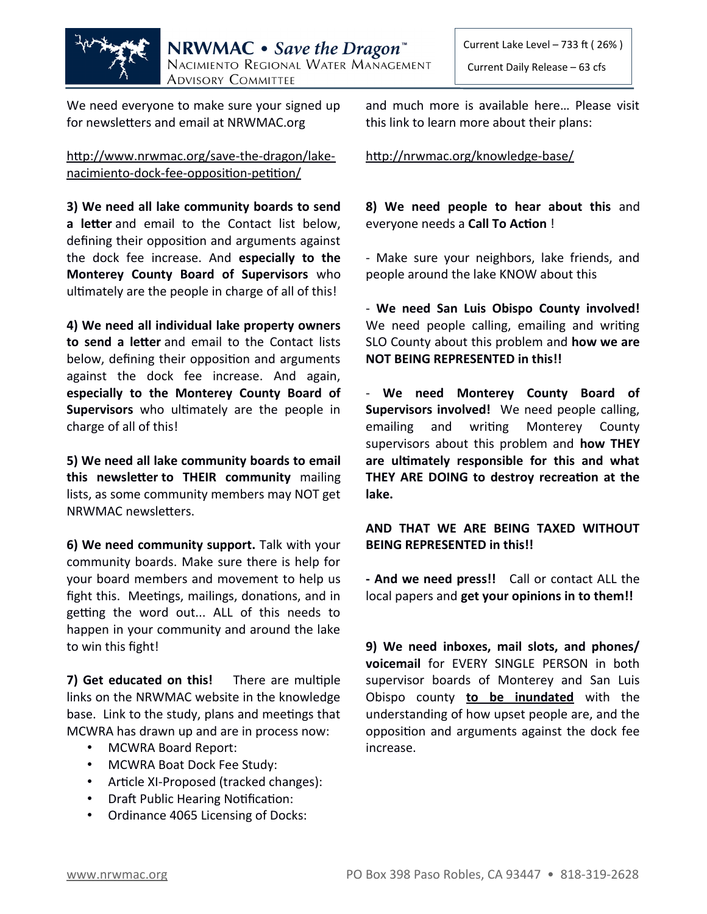

We need everyone to make sure your signed up for newsletters and email at NRWMAC.org

[http://www.nrwmac.org/save-the-dragon/lake](http://www.nrwmac.org/save-the-dragon/lake-nacimiento-dock-fee-opposition-petition/) nacimiento-dock-fee-opposition-petition/

**3) We need all lake community boards to send a letter** and email to the Contact list below, defining their opposition and arguments against the dock fee increase. And **especially to the Monterey County Board of Supervisors** who ultimately are the people in charge of all of this!

**4) We need all individual lake property owners to send a letter** and email to the Contact lists below, defining their opposition and arguments against the dock fee increase. And again, **especially to the Monterey County Board of Supervisors** who ultimately are the people in charge of all of this!

**5) We need all lake community boards to email this newsletter to THEIR community** mailing lists, as some community members may NOT get NRWMAC newsletters.

**6) We need community support.** Talk with your community boards. Make sure there is help for your board members and movement to help us fight this. Meetings, mailings, donations, and in getting the word out... ALL of this needs to happen in your community and around the lake to win this fight!

**7) Get educated on this!** There are multiple links on the NRWMAC website in the knowledge base. Link to the study, plans and meetings that MCWRA has drawn up and are in process now:

- MCWRA Board Report:
- MCWRA Boat Dock Fee Study:
- Article XI-Proposed (tracked changes):
- Draft Public Hearing Notification:
- Ordinance 4065 Licensing of Docks:

and much more is available here… Please visit this link to learn more about their plans:

<http://nrwmac.org/knowledge-base/>

**8) We need people to hear about this** and everyone needs a **Call To Action** !

- Make sure your neighbors, lake friends, and people around the lake KNOW about this

- **We need San Luis Obispo County involved!** We need people calling, emailing and writing SLO County about this problem and **how we are NOT BEING REPRESENTED in this!!**

- **We need Monterey County Board of Supervisors involved!** We need people calling, emailing and writing Monterey County supervisors about this problem and **how THEY are ultimately responsible for this and what THEY ARE DOING to destroy recreation at the lake.**

**AND THAT WE ARE BEING TAXED WITHOUT BEING REPRESENTED in this!!**

**- And we need press!!** Call or contact ALL the local papers and **get your opinions in to them!!**

**9) We need inboxes, mail slots, and phones/ voicemail** for EVERY SINGLE PERSON in both supervisor boards of Monterey and San Luis Obispo county **to be inundated** with the understanding of how upset people are, and the opposition and arguments against the dock fee increase.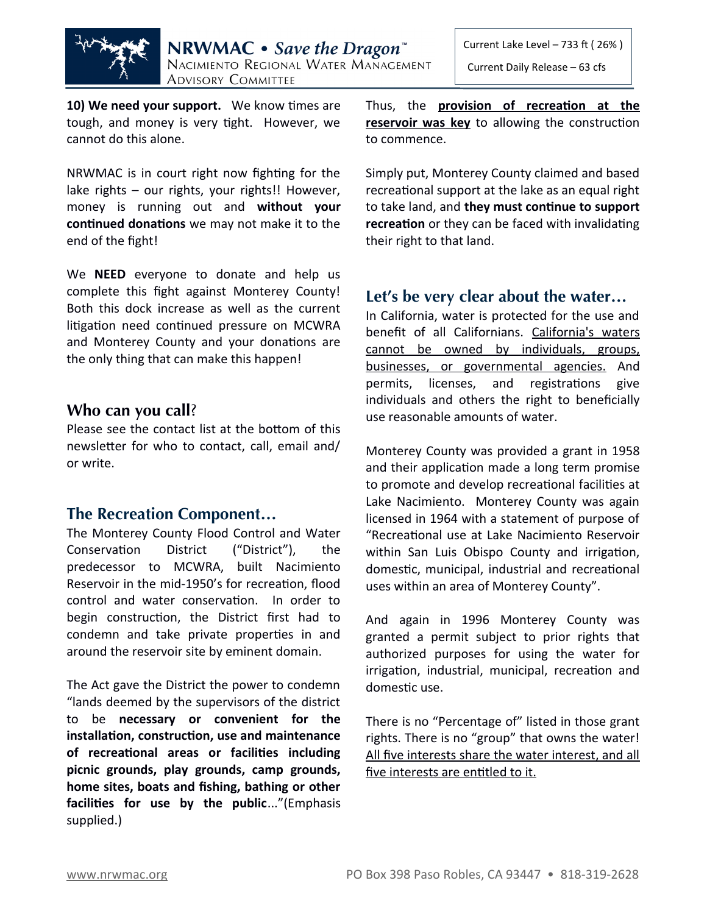

**10) We need your support.** We know times are tough, and money is very tight. However, we cannot do this alone.

NRWMAC is in court right now fighting for the lake rights – our rights, your rights!! However, money is running out and **without your continued donations** we may not make it to the end of the fight!

We **NEED** everyone to donate and help us complete this fight against Monterey County! Both this dock increase as well as the current litigation need continued pressure on MCWRA and Monterey County and your donations are the only thing that can make this happen!

### **Who can you call**?

Please see the contact list at the bottom of this newsletter for who to contact, call, email and/ or write.

### **The Recreation Component…**

The Monterey County Flood Control and Water Conservation District ("District"), the predecessor to MCWRA, built Nacimiento Reservoir in the mid-1950's for recreation, flood control and water conservation. In order to begin construction, the District first had to condemn and take private properties in and around the reservoir site by eminent domain.

The Act gave the District the power to condemn "lands deemed by the supervisors of the district to be **necessary or convenient for the installation, construction, use and maintenance of recreational areas or facilities including picnic grounds, play grounds, camp grounds, home sites, boats and fishing, bathing or other facilities for use by the public**..."(Emphasis supplied.)

Thus, the **provision of recreation at the reservoir was key** to allowing the construction to commence.

Simply put, Monterey County claimed and based recreational support at the lake as an equal right to take land, and **they must continue to support recreation** or they can be faced with invalidating their right to that land.

### **Let's be very clear about the water…**

In California, water is protected for the use and benefit of all Californians. California's waters cannot be owned by individuals, groups, businesses, or governmental agencies. And permits, licenses, and registrations give individuals and others the right to beneficially use reasonable amounts of water.

Monterey County was provided a grant in 1958 and their application made a long term promise to promote and develop recreational facilities at Lake Nacimiento. Monterey County was again licensed in 1964 with a statement of purpose of "Recreational use at Lake Nacimiento Reservoir within San Luis Obispo County and irrigation, domestic, municipal, industrial and recreational uses within an area of Monterey County".

And again in 1996 Monterey County was granted a permit subject to prior rights that authorized purposes for using the water for irrigation, industrial, municipal, recreation and domestic use.

There is no "Percentage of" listed in those grant rights. There is no "group" that owns the water! All five interests share the water interest, and all five interests are entitled to it.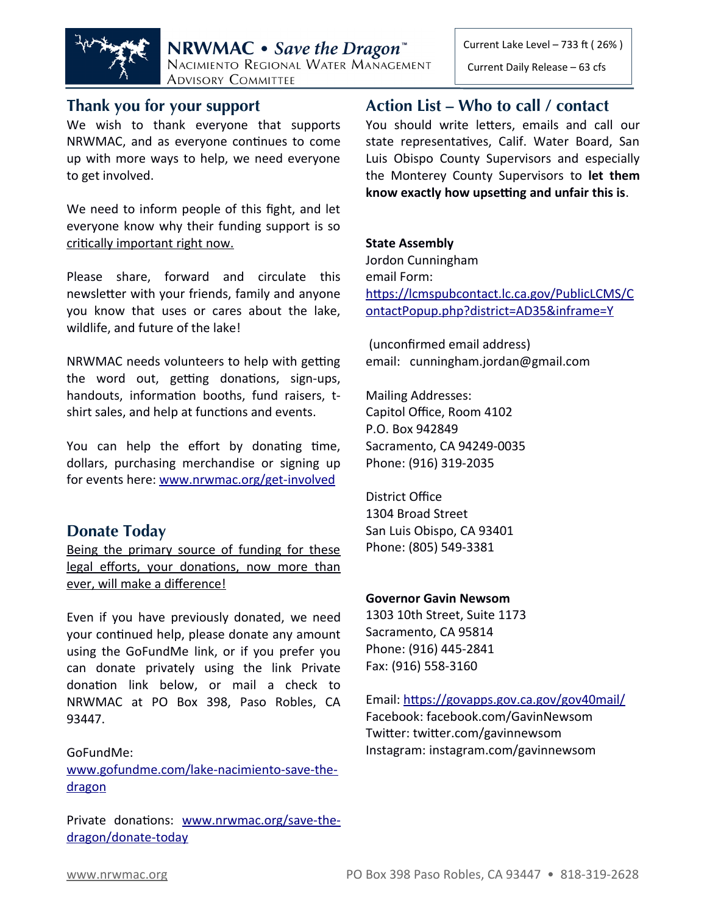



NRWMAC • Save the Dragon<sup>"</sup> NACIMIENTO REGIONAL WATER MANAGEMENT **ADVISORY COMMITTEE** 

### **Thank you for your support**

We wish to thank everyone that supports NRWMAC, and as everyone continues to come up with more ways to help, we need everyone to get involved.

We need to inform people of this fight, and let everyone know why their funding support is so critically important right now.

Please share, forward and circulate this newsletter with your friends, family and anyone you know that uses or cares about the lake, wildlife, and future of the lake!

NRWMAC needs volunteers to help with getting the word out, getting donations, sign-ups, handouts, information booths, fund raisers, tshirt sales, and help at functions and events.

You can help the effort by donating time, dollars, purchasing merchandise or signing up for events here: [www.nrwmac.org/get-involved](http://www.nrwmac.org/get-involved)

### **Donate Today**

Being the primary source of funding for these legal efforts, your donations, now more than ever, will make a difference!

Even if you have previously donated, we need your continued help, please donate any amount using the GoFundMe link, or if you prefer you can donate privately using the link Private donation link below, or mail a check to NRWMAC at PO Box 398, Paso Robles, CA 93447.

### GoFundMe:

[www.gofundme.com/lake-nacimiento-save-the](http://www.gofundme.com/lake-nacimiento-save-the-dragon) dragon

Private donations: [www.nrwmac.org/save-the](http://www.nrwmac.org/save-the-dragon/donate-today) dragon/donate-today

### **Action List – Who to call / contact**

You should write letters, emails and call our state representatives, Calif. Water Board, San Luis Obispo County Supervisors and especially the Monterey County Supervisors to **let them know exactly how upsetting and unfair this is**.

### **State Assembly**

Jordon Cunningham email Form: [https://lcmspubcontact.lc.ca.gov/PublicLCMS/C](https://lcmspubcontact.lc.ca.gov/PublicLCMS/ContactPopup.php?district=AD35&inframe=Y) [ontactPopup.php?district=AD35&inframe=Y](https://lcmspubcontact.lc.ca.gov/PublicLCMS/ContactPopup.php?district=AD35&inframe=Y)

 (unconfirmed email address) email: cunningham.jordan@gmail.com

Mailing Addresses: Capitol Office, Room 4102 P.O. Box 942849 Sacramento, CA 94249-0035 Phone: (916) 319-2035

District Office 1304 Broad Street San Luis Obispo, CA 93401 Phone: (805) 549-3381

#### **Governor Gavin Newsom**

1303 10th Street, Suite 1173 Sacramento, CA 95814 Phone: (916) 445-2841 Fax: (916) 558-3160

Email:<https://govapps.gov.ca.gov/gov40mail/> Facebook: facebook.com/GavinNewsom Twitter: twitter.com/gavinnewsom Instagram: instagram.com/gavinnewsom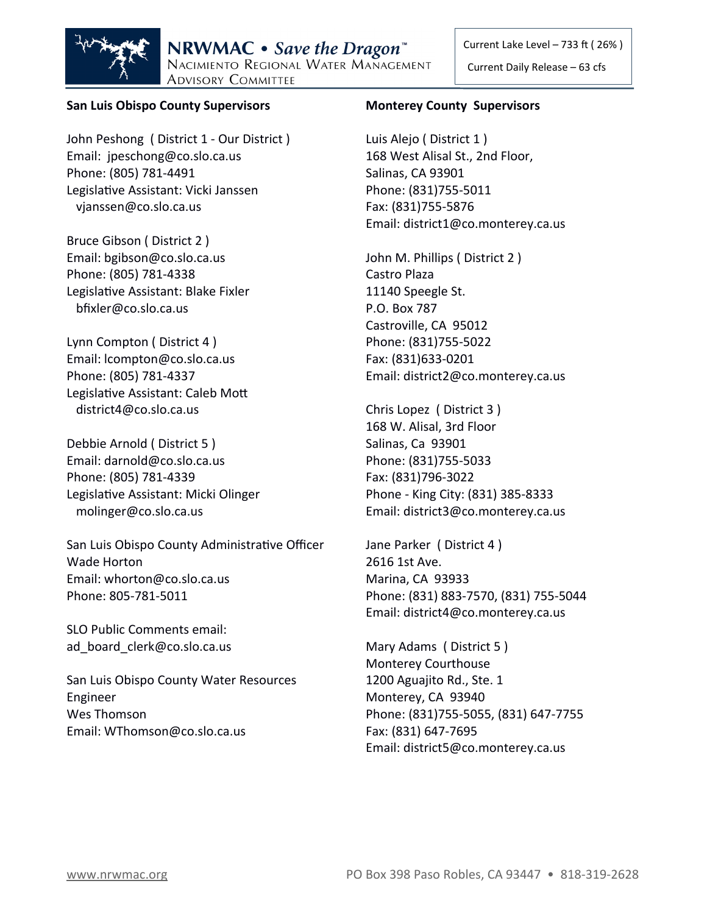

#### **San Luis Obispo County Supervisors**

John Peshong ( District 1 - Our District ) Email: jpeschong@co.slo.ca.us Phone: (805) 781-4491 Legislative Assistant: Vicki Janssen vjanssen@co.slo.ca.us

Bruce Gibson ( District 2 ) Email: bgibson@co.slo.ca.us Phone: (805) 781-4338 Legislative Assistant: Blake Fixler bfixler@co.slo.ca.us

Lynn Compton ( District 4 ) Email: lcompton@co.slo.ca.us Phone: (805) 781-4337 Legislative Assistant: Caleb Mott district4@co.slo.ca.us

Debbie Arnold ( District 5 ) Email: darnold@co.slo.ca.us Phone: (805) 781-4339 Legislative Assistant: Micki Olinger molinger@co.slo.ca.us

San Luis Obispo County Administrative Officer Wade Horton Email: whorton@co.slo.ca.us Phone: 805-781-5011

SLO Public Comments email: ad board clerk@co.slo.ca.us

San Luis Obispo County Water Resources Engineer Wes Thomson Email: WThomson@co.slo.ca.us

#### **Monterey County Supervisors**

Luis Alejo ( District 1 ) 168 West Alisal St., 2nd Floor, Salinas, CA 93901 Phone: (831)755-5011 Fax: (831)755-5876 Email: district1@co.monterey.ca.us

John M. Phillips ( District 2 ) Castro Plaza 11140 Speegle St. P.O. Box 787 Castroville, CA 95012 Phone: (831)755-5022 Fax: (831)633-0201 Email: district2@co.monterey.ca.us

Chris Lopez ( District 3 ) 168 W. Alisal, 3rd Floor Salinas, Ca 93901 Phone: (831)755-5033 Fax: (831)796-3022 Phone - King City: (831) 385-8333 Email: district3@co.monterey.ca.us

Jane Parker ( District 4 ) 2616 1st Ave. Marina, CA 93933 Phone: (831) 883-7570, (831) 755-5044 Email: district4@co.monterey.ca.us

Mary Adams ( District 5 ) Monterey Courthouse 1200 Aguajito Rd., Ste. 1 Monterey, CA 93940 Phone: (831)755-5055, (831) 647-7755 Fax: (831) 647-7695 Email: district5@co.monterey.ca.us

Current Daily Release – 63 cfs